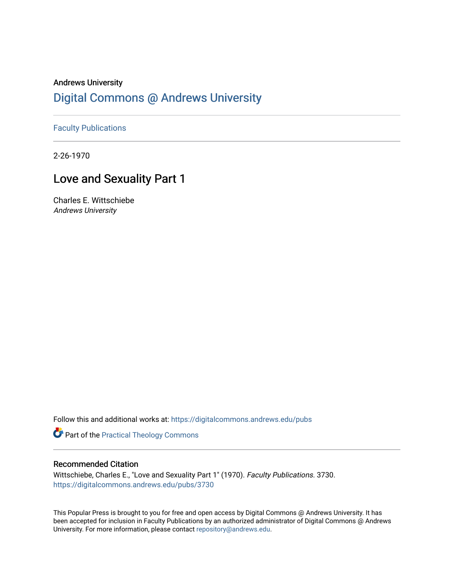## Andrews University [Digital Commons @ Andrews University](https://digitalcommons.andrews.edu/)

[Faculty Publications](https://digitalcommons.andrews.edu/pubs)

2-26-1970

# Love and Sexuality Part 1

Charles E. Wittschiebe Andrews University

Follow this and additional works at: [https://digitalcommons.andrews.edu/pubs](https://digitalcommons.andrews.edu/pubs?utm_source=digitalcommons.andrews.edu%2Fpubs%2F3730&utm_medium=PDF&utm_campaign=PDFCoverPages) 

Part of the [Practical Theology Commons](http://network.bepress.com/hgg/discipline/1186?utm_source=digitalcommons.andrews.edu%2Fpubs%2F3730&utm_medium=PDF&utm_campaign=PDFCoverPages)

### Recommended Citation

Wittschiebe, Charles E., "Love and Sexuality Part 1" (1970). Faculty Publications. 3730. [https://digitalcommons.andrews.edu/pubs/3730](https://digitalcommons.andrews.edu/pubs/3730?utm_source=digitalcommons.andrews.edu%2Fpubs%2F3730&utm_medium=PDF&utm_campaign=PDFCoverPages) 

This Popular Press is brought to you for free and open access by Digital Commons @ Andrews University. It has been accepted for inclusion in Faculty Publications by an authorized administrator of Digital Commons @ Andrews University. For more information, please contact [repository@andrews.edu](mailto:repository@andrews.edu).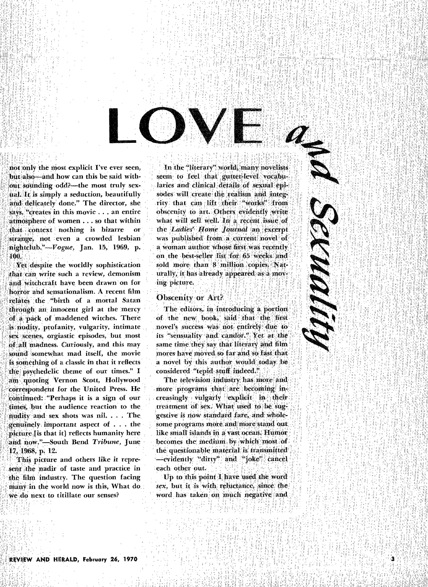not only the most explicit I've ever seen, but also—and how can this be said with**out sounding odd?—the most truly sexual. It is simply a seduction, beautifully and, delicately done." The director, she says, "creates: In this movie ... an entire atmosphere of women ... so that within**  $\text{that}$  **context inothing is bizarre or stringe, not even a crowded lesbian nightclub."** *Vogue, Jan.* **15, 1969, p. 100.** 

**Yet despite the worldly sophistication**  *• that* **can write such a review, demonism and witchcraft have been drawn on for horror and sensationalism. A recent film relates the "birth of a mortal Satan through an;** *innocent* **girl at the mercy of a pack**, **of 'maddened witches. There is nudity, profanity, vulgarity, intimate sex scenes, orgiastic episodes, but most of all madness. Curiously, and this may sound somewhat mad itself, the movie**  is something of a classic in that it reflects **the psychedelic theme of our times." I an quoting Vernon Scott, Hollywood**  correspondent for the United Press. He **continued: "Perhaps it is a sign of our timeS, but the audience reaction to the nudity and sex shots was nil. . . . The genuinely important** *aspect* **of . . . the picture [is that it] reflects humanity here**  and now."-South Bend *Tribune*, June 17, 1968, p. 12.

**This picture and others like it repre**sent the nadir of taste and practice in **the film industry. The question facing any in the world now is this, What do a do next to titillate our** senses?

**'Inrbe-",literary" world, many novelists seem 'to 'feel that gutter-level vocabu laries and: Clinical details of sexual epi**sodes will create the realism and integ**rity that can lift ;their "works" from obscenity to art :Others evidently ;write what will sell well. In a recent issue of the** *Ladies" Home Journal an* **excerpt**  was published from a current novel of **a woman author whose first was recently on the best-seller list for 65 wet: and**  sold more than 8 million copies. Nat**urally, it has already appeared as a MO'smg picture.** 

SEUNAL

ā

#### **Obscenity or Art?**

The editors, in introducing a portion **of the new hook, said that the first novel's success was not entirely due to its "sensuality and** *candiii." Yet at the*  **same time they say that literary and film mores have moved so far and so fast that a novel by this author would today be**  considered "tepid stuff indeed."

The television industry has more and **more programs that' ate becoming in. creasingly vulgarly . 0explicit in their ,**  treatment of sex. What used to be suggestive is now standard fare, and whole**some programs more. and! more stand out like small islands in a vast ocean; Humor**  becomes the medium by which most of **the questionable material is transmitted' —evidently 'dirty" ' and "joke" cancel each other out.** 

Up to this point I have used the word *sex,* **but it is with reluctance, since;**  word has taken on much negative and